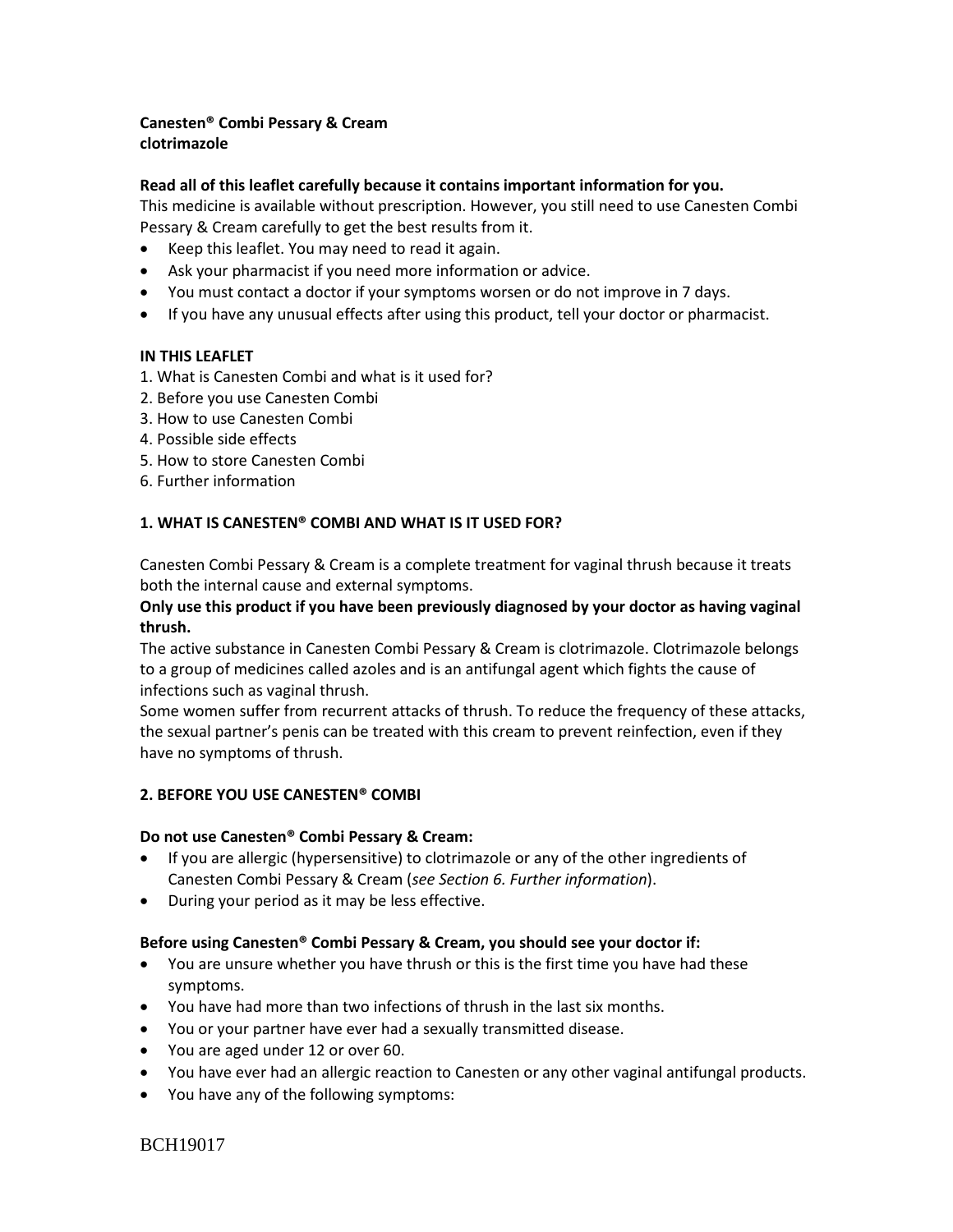# **Canesten® Combi Pessary & Cream clotrimazole**

### **Read all of this leaflet carefully because it contains important information for you.**

This medicine is available without prescription. However, you still need to use Canesten Combi Pessary & Cream carefully to get the best results from it.

- Keep this leaflet. You may need to read it again.
- Ask your pharmacist if you need more information or advice.
- You must contact a doctor if your symptoms worsen or do not improve in 7 days.
- If you have any unusual effects after using this product, tell your doctor or pharmacist.

## **IN THIS LEAFLET**

- 1. What is Canesten Combi and what is it used for?
- 2. Before you use Canesten Combi
- 3. How to use Canesten Combi
- 4. Possible side effects
- 5. How to store Canesten Combi
- 6. Further information

### **1. WHAT IS CANESTEN® COMBI AND WHAT IS IT USED FOR?**

Canesten Combi Pessary & Cream is a complete treatment for vaginal thrush because it treats both the internal cause and external symptoms.

## **Only use this product if you have been previously diagnosed by your doctor as having vaginal thrush.**

The active substance in Canesten Combi Pessary & Cream is clotrimazole. Clotrimazole belongs to a group of medicines called azoles and is an antifungal agent which fights the cause of infections such as vaginal thrush.

Some women suffer from recurrent attacks of thrush. To reduce the frequency of these attacks, the sexual partner's penis can be treated with this cream to prevent reinfection, even if they have no symptoms of thrush.

### **2. BEFORE YOU USE CANESTEN® COMBI**

### **Do not use Canesten® Combi Pessary & Cream:**

- If you are allergic (hypersensitive) to clotrimazole or any of the other ingredients of Canesten Combi Pessary & Cream (*see Section 6. Further information*).
- During your period as it may be less effective.

### **Before using Canesten® Combi Pessary & Cream, you should see your doctor if:**

- You are unsure whether you have thrush or this is the first time you have had these symptoms.
- You have had more than two infections of thrush in the last six months.
- You or your partner have ever had a sexually transmitted disease.
- You are aged under 12 or over 60.
- You have ever had an allergic reaction to Canesten or any other vaginal antifungal products.
- You have any of the following symptoms:

BCH19017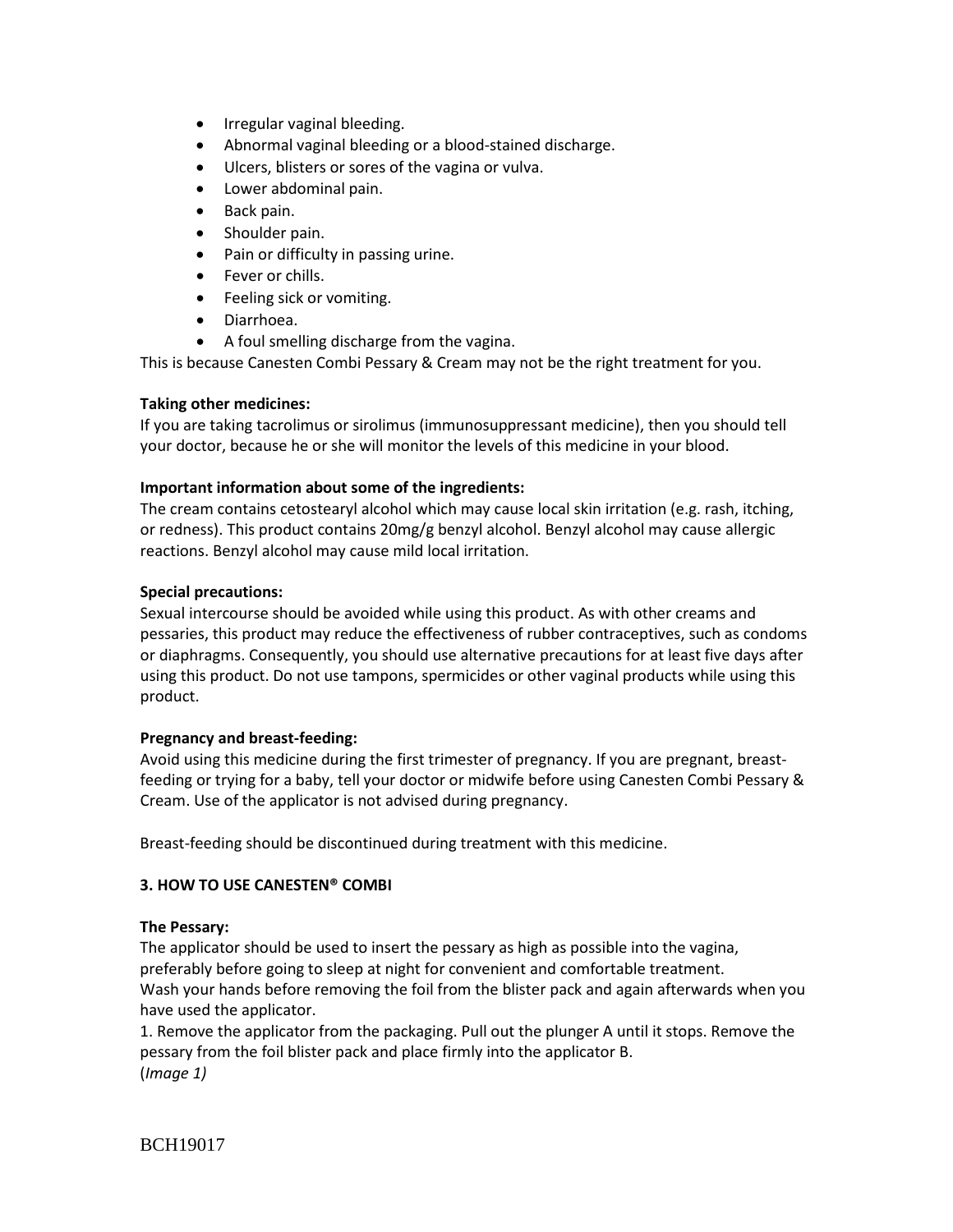- Irregular vaginal bleeding.
- Abnormal vaginal bleeding or a blood-stained discharge.
- Ulcers, blisters or sores of the vagina or vulva.
- Lower abdominal pain.
- Back pain.
- Shoulder pain.
- Pain or difficulty in passing urine.
- Fever or chills.
- Feeling sick or vomiting.
- Diarrhoea.
- A foul smelling discharge from the vagina.

This is because Canesten Combi Pessary & Cream may not be the right treatment for you.

### **Taking other medicines:**

If you are taking tacrolimus or sirolimus (immunosuppressant medicine), then you should tell your doctor, because he or she will monitor the levels of this medicine in your blood.

## **Important information about some of the ingredients:**

The cream contains cetostearyl alcohol which may cause local skin irritation (e.g. rash, itching, or redness). This product contains 20mg/g benzyl alcohol. Benzyl alcohol may cause allergic reactions. Benzyl alcohol may cause mild local irritation.

### **Special precautions:**

Sexual intercourse should be avoided while using this product. As with other creams and pessaries, this product may reduce the effectiveness of rubber contraceptives, such as condoms or diaphragms. Consequently, you should use alternative precautions for at least five days after using this product. Do not use tampons, spermicides or other vaginal products while using this product.

### **Pregnancy and breast-feeding:**

Avoid using this medicine during the first trimester of pregnancy. If you are pregnant, breastfeeding or trying for a baby, tell your doctor or midwife before using Canesten Combi Pessary & Cream. Use of the applicator is not advised during pregnancy.

Breast-feeding should be discontinued during treatment with this medicine.

# **3. HOW TO USE CANESTEN® COMBI**

### **The Pessary:**

The applicator should be used to insert the pessary as high as possible into the vagina, preferably before going to sleep at night for convenient and comfortable treatment. Wash your hands before removing the foil from the blister pack and again afterwards when you have used the applicator.

1. Remove the applicator from the packaging. Pull out the plunger A until it stops. Remove the pessary from the foil blister pack and place firmly into the applicator B. (*Image 1)*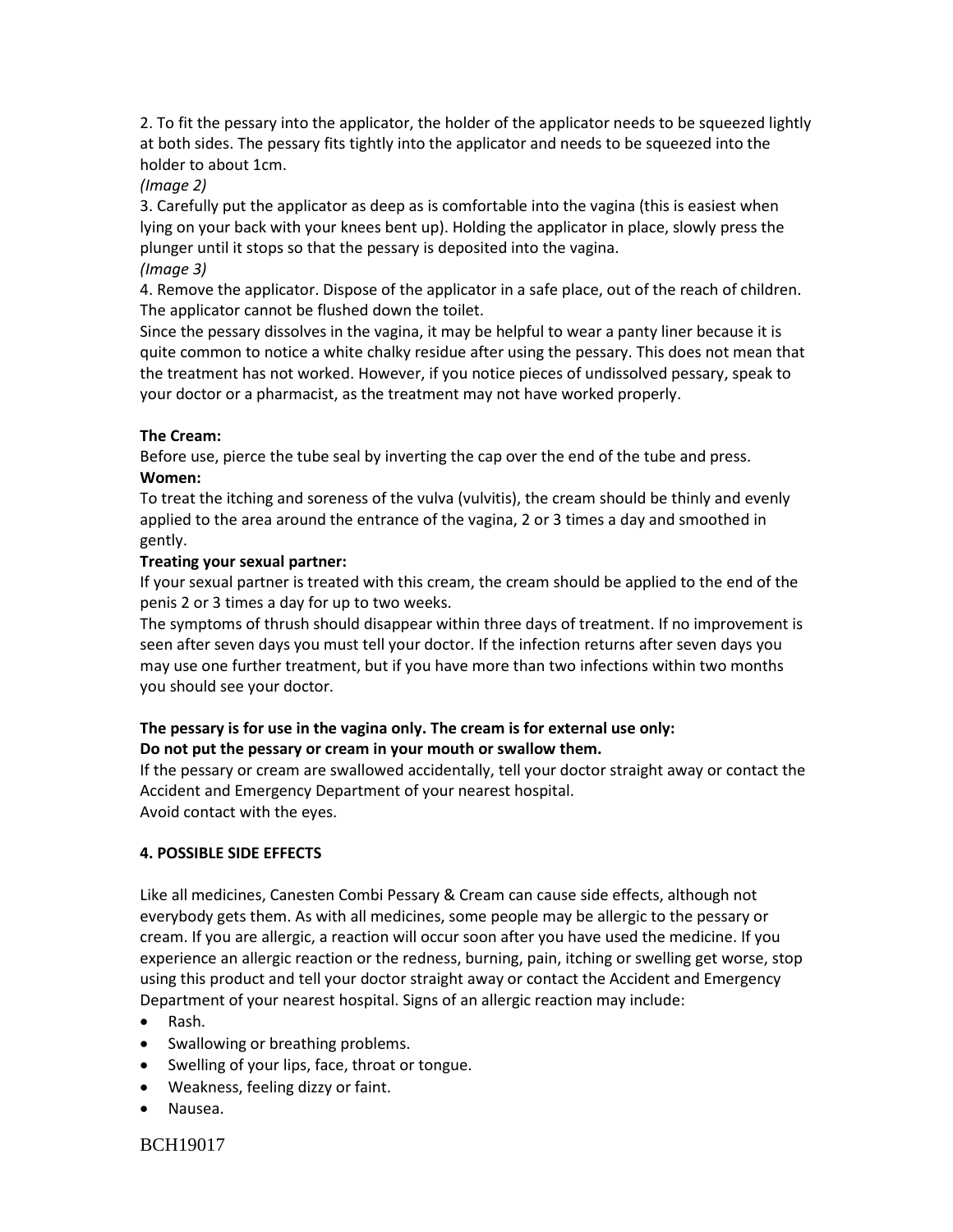2. To fit the pessary into the applicator, the holder of the applicator needs to be squeezed lightly at both sides. The pessary fits tightly into the applicator and needs to be squeezed into the holder to about 1cm.

## *(Image 2)*

3. Carefully put the applicator as deep as is comfortable into the vagina (this is easiest when lying on your back with your knees bent up). Holding the applicator in place, slowly press the plunger until it stops so that the pessary is deposited into the vagina.

*(Image 3)*

4. Remove the applicator. Dispose of the applicator in a safe place, out of the reach of children. The applicator cannot be flushed down the toilet.

Since the pessary dissolves in the vagina, it may be helpful to wear a panty liner because it is quite common to notice a white chalky residue after using the pessary. This does not mean that the treatment has not worked. However, if you notice pieces of undissolved pessary, speak to your doctor or a pharmacist, as the treatment may not have worked properly.

# **The Cream:**

Before use, pierce the tube seal by inverting the cap over the end of the tube and press. **Women:**

To treat the itching and soreness of the vulva (vulvitis), the cream should be thinly and evenly applied to the area around the entrance of the vagina, 2 or 3 times a day and smoothed in gently.

## **Treating your sexual partner:**

If your sexual partner is treated with this cream, the cream should be applied to the end of the penis 2 or 3 times a day for up to two weeks.

The symptoms of thrush should disappear within three days of treatment. If no improvement is seen after seven days you must tell your doctor. If the infection returns after seven days you may use one further treatment, but if you have more than two infections within two months you should see your doctor.

# **The pessary is for use in the vagina only. The cream is for external use only: Do not put the pessary or cream in your mouth or swallow them.**

If the pessary or cream are swallowed accidentally, tell your doctor straight away or contact the Accident and Emergency Department of your nearest hospital. Avoid contact with the eyes.

### **4. POSSIBLE SIDE EFFECTS**

Like all medicines, Canesten Combi Pessary & Cream can cause side effects, although not everybody gets them. As with all medicines, some people may be allergic to the pessary or cream. If you are allergic, a reaction will occur soon after you have used the medicine. If you experience an allergic reaction or the redness, burning, pain, itching or swelling get worse, stop using this product and tell your doctor straight away or contact the Accident and Emergency Department of your nearest hospital. Signs of an allergic reaction may include:

- Rash.
- Swallowing or breathing problems.
- Swelling of your lips, face, throat or tongue.
- Weakness, feeling dizzy or faint.
- Nausea.

BCH19017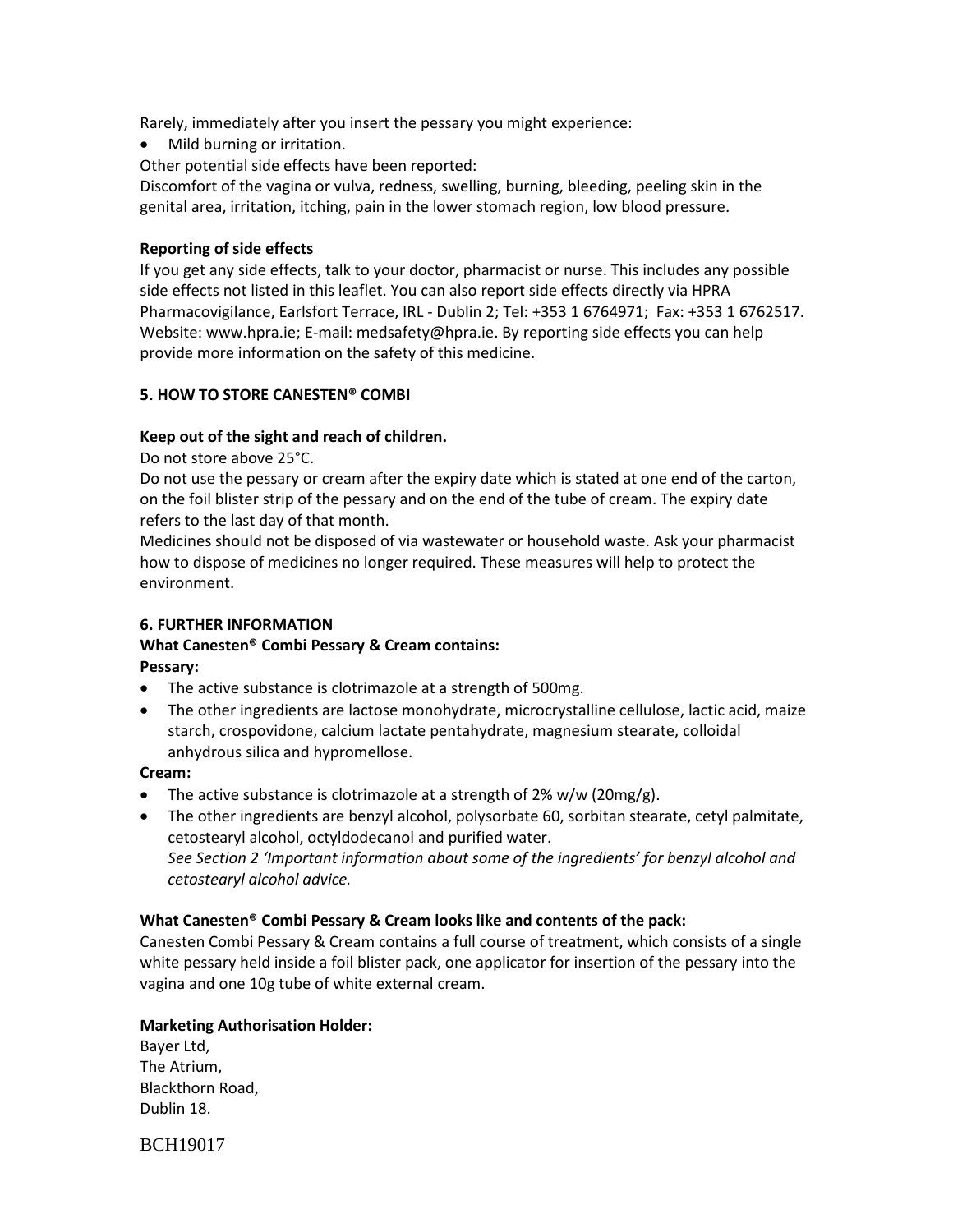Rarely, immediately after you insert the pessary you might experience:

• Mild burning or irritation.

Other potential side effects have been reported:

Discomfort of the vagina or vulva, redness, swelling, burning, bleeding, peeling skin in the genital area, irritation, itching, pain in the lower stomach region, low blood pressure.

### **Reporting of side effects**

If you get any side effects, talk to your doctor, pharmacist or nurse. This includes any possible side effects not listed in this leaflet. You can also report side effects directly via HPRA Pharmacovigilance, Earlsfort Terrace, IRL - Dublin 2; Tel: +353 1 6764971; Fax: +353 1 6762517. Website: www.hpra.ie; E-mail: medsafety@hpra.ie. By reporting side effects you can help provide more information on the safety of this medicine.

## **5. HOW TO STORE CANESTEN® COMBI**

## **Keep out of the sight and reach of children.**

Do not store above 25°C.

Do not use the pessary or cream after the expiry date which is stated at one end of the carton, on the foil blister strip of the pessary and on the end of the tube of cream. The expiry date refers to the last day of that month.

Medicines should not be disposed of via wastewater or household waste. Ask your pharmacist how to dispose of medicines no longer required. These measures will help to protect the environment.

# **6. FURTHER INFORMATION**

# **What Canesten® Combi Pessary & Cream contains: Pessary:**

- The active substance is clotrimazole at a strength of 500mg.
- The other ingredients are lactose monohydrate, microcrystalline cellulose, lactic acid, maize starch, crospovidone, calcium lactate pentahydrate, magnesium stearate, colloidal anhydrous silica and hypromellose.

### **Cream:**

- The active substance is clotrimazole at a strength of  $2\%$  w/w ( $20$ mg/g).
- The other ingredients are benzyl alcohol, polysorbate 60, sorbitan stearate, cetyl palmitate, cetostearyl alcohol, octyldodecanol and purified water. *See Section 2 'Important information about some of the ingredients' for benzyl alcohol and cetostearyl alcohol advice.*

### **What Canesten® Combi Pessary & Cream looks like and contents of the pack:**

Canesten Combi Pessary & Cream contains a full course of treatment, which consists of a single white pessary held inside a foil blister pack, one applicator for insertion of the pessary into the vagina and one 10g tube of white external cream.

### **Marketing Authorisation Holder:**

Bayer Ltd, The Atrium, Blackthorn Road, Dublin 18.

BCH19017